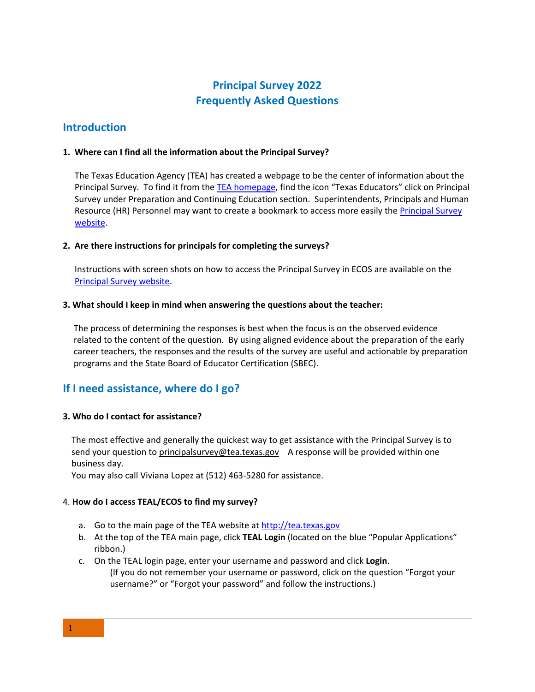# **Frequently Asked Questions Principal Survey 2022**

# **Introduction**

## **1. Where can I find all the information about the Principal Survey?**

The Texas Education Agency (TEA) has created a webpage to be the center of information about the Principal Survey. To find it from the [TEA homepage,](http://www.tea.state.tx.us/) find the icon "Texas Educators" click on Principal Survey under Preparation and Continuing Education section. Superintendents, Principals and Human Resource (HR) Personnel may want to create a bookmark to access more easily the [Principal Survey](http://tea.texas.gov/Texas_Educators/Preparation_and_Continuing_Education/Principal_Surveys_to_Evaluate_Educator_Preparation_Programs/)  [website.](http://tea.texas.gov/Texas_Educators/Preparation_and_Continuing_Education/Principal_Surveys_to_Evaluate_Educator_Preparation_Programs/)

### **2. Are there instructions for principals for completing the surveys?**

 Instructions with screen shots on how to access the Principal Survey in ECOS are available on the [Principal Survey website.](http://tea.texas.gov/Texas_Educators/Preparation_and_Continuing_Education/Principal_Surveys_to_Evaluate_Educator_Preparation_Programs/)

### **3. What should I keep in mind when answering the questions about the teacher:**

The process of determining the responses is best when the focus is on the observed evidence related to the content of the question. By using aligned evidence about the preparation of the early career teachers, the responses and the results of the survey are useful and actionable by preparation programs and the State Board of Educator Certification (SBEC).

# **If I need assistance, where do I go?**

## **3. Who do I contact for assistance?**

 The most effective and generally the quickest way to get assistance with the Principal Survey is to send your question to [principalsurvey@tea.texas.gov](mailto:principalsurvey@tea.texas.gov) A response will be provided within one business day.

You may also call Viviana Lopez at (512) 463-5280 for assistance.

## 4. **How do I access TEAL/ECOS to find my survey?**

- a. Go to the main page of the TEA website at [http://tea.texas.gov](http://tea.texas.gov/)
- b. At the top of the TEA main page, click **TEAL Login** (located on the blue "Popular Applications" ribbon.)
- c. On the TEAL login page, enter your username and password and click **Login**. (If you do not remember your username or password, click on the question "Forgot your username?" or "Forgot your password" and follow the instructions.)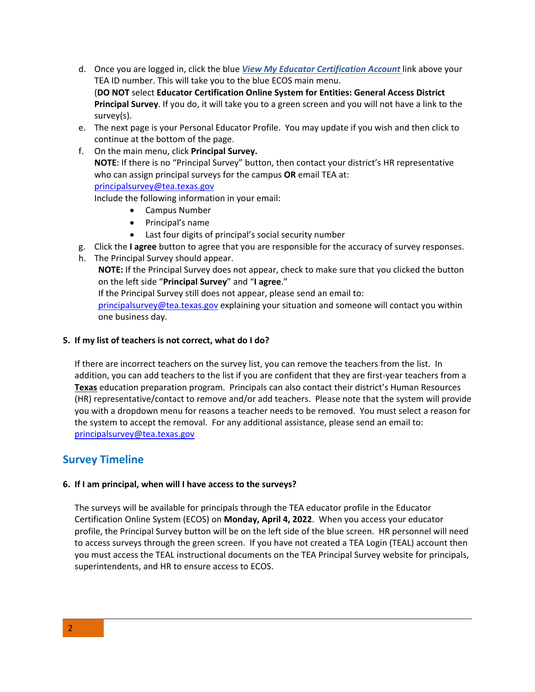- TEA ID number. This will take you to the blue ECOS main menu.  (**DO NOT** select **Educator Certification Online System for Entities: General Access District Principal Survey**. If you do, it will take you to a green screen and you will not have a link to the  $survey(s)$ . survey(s). e. The next page is your Personal Educator Profile. You may update if you wish and then click to d. Once you are logged in, click the blue *View My Educator Certification Account* link above your
- continue at the bottom of the page.
- **NOTE**: If there is no "Principal Survey" button, then contact your district's HR representative f. On the main menu, click **Principal Survey.**  who can assign principal surveys for the campus **OR** email TEA at: [principalsurvey@tea.texas.gov](mailto:principalsurvey@tea.texas.gov)

Include the following information in your email:

- Campus Number
- Principal's name
- Last four digits of principal's social security number
- g. Click the **I agree** button to agree that you are responsible for the accuracy of survey responses.
- h. The Principal Survey should appear.

**NOTE:** If the Principal Survey does not appear, check to make sure that you clicked the button on the left side "**Principal Survey**" and "**I agree**."

If the Principal Survey still does not appear, please send an email to:

[principalsurvey@tea.texas.gov](mailto:principalsurvey@tea.texas.gov) explaining your situation and someone will contact you within one business day.

## **5. If my list of teachers is not correct, what do I do?**

 If there are incorrect teachers on the survey list, you can remove the teachers from the list. In addition, you can add teachers to the list if you are confident that they are first-year teachers from a **Texas** education preparation program. Principals can also contact their district's Human Resources (HR) representative/contact to remove and/or add teachers. Please note that the system will provide the system to accept the removal. For any additional assistance, please send an email to: you with a dropdown menu for reasons a teacher needs to be removed. You must select a reason for [principalsurvey@tea.texas.gov](mailto:principalsurvey@tea.texas.gov) 

# **Survey Timeline**

## **6. If I am principal, when will I have access to the surveys?**

 Certification Online System (ECOS) on **Monday, April 4, 2022**. When you access your educator profile, the Principal Survey button will be on the left side of the blue screen. HR personnel will need to access surveys through the green screen. If you have not created a TEA Login (TEAL) account then The surveys will be available for principals through the TEA educator profile in the Educator you must access the TEAL instructional documents on the TEA Principal Survey website for principals, superintendents, and HR to ensure access to ECOS.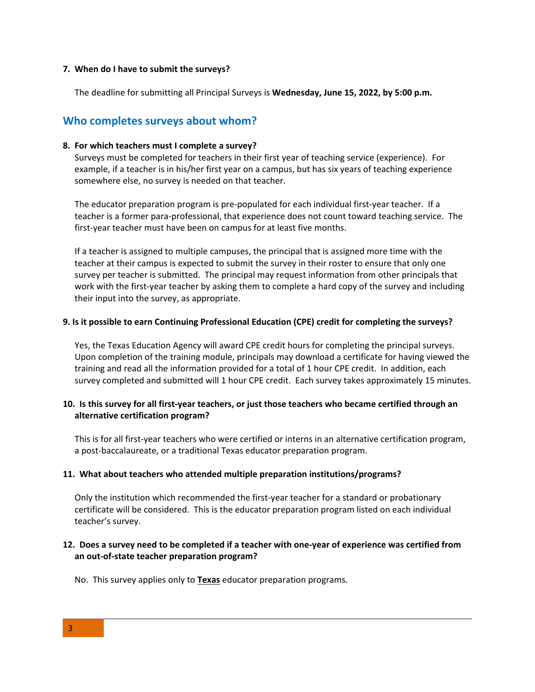#### **7. When do I have to submit the surveys?**

The deadline for submitting all Principal Surveys is **Wednesday, June 15, 2022, by 5:00 p.m.** 

## **Who completes surveys about whom?**

#### **8. For which teachers must I complete a survey?**

 example, if a teacher is in his/her first year on a campus, but has six years of teaching experience Surveys must be completed for teachers in their first year of teaching service (experience). For somewhere else, no survey is needed on that teacher.

 The educator preparation program is pre-populated for each individual first-year teacher. If a teacher is a former para-professional, that experience does not count toward teaching service. The first-year teacher must have been on campus for at least five months.

 If a teacher is assigned to multiple campuses, the principal that is assigned more time with the teacher at their campus is expected to submit the survey in their roster to ensure that only one work with the first-year teacher by asking them to complete a hard copy of the survey and including survey per teacher is submitted. The principal may request information from other principals that their input into the survey, as appropriate.

#### **9. Is it possible to earn Continuing Professional Education (CPE) credit for completing the surveys?**

 Upon completion of the training module, principals may download a certificate for having viewed the Yes, the Texas Education Agency will award CPE credit hours for completing the principal surveys. training and read all the information provided for a total of 1 hour CPE credit. In addition, each survey completed and submitted will 1 hour CPE credit. Each survey takes approximately 15 minutes.

## **10. Is this survey for all first-year teachers, or just those teachers who became certified through an alternative certification program?**

 This is for all first-year teachers who were certified or interns in an alternative certification program, a post-baccalaureate, or a traditional Texas educator preparation program.

#### **11. What about teachers who attended multiple preparation institutions/programs?**

 certificate will be considered. This is the educator preparation program listed on each individual Only the institution which recommended the first-year teacher for a standard or probationary teacher's survey.

### **12. Does a survey need to be completed if a teacher with one-year of experience was certified from an out-of-state teacher preparation program?**

No. This survey applies only to **Texas** educator preparation programs.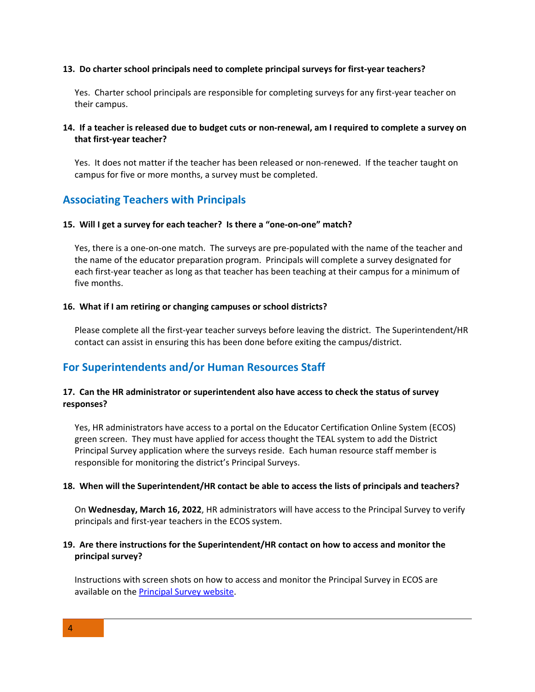#### **13. Do charter school principals need to complete principal surveys for first-year teachers?**

 Yes. Charter school principals are responsible for completing surveys for any first-year teacher on their campus.

## **14. If a teacher is released due to budget cuts or non-renewal, am I required to complete a survey on that first-year teacher?**

 Yes. It does not matter if the teacher has been released or non-renewed. If the teacher taught on campus for five or more months, a survey must be completed.

## **Associating Teachers with Principals**

#### **15. Will I get a survey for each teacher? Is there a "one-on-one" match?**

 Yes, there is a one-on-one match. The surveys are pre-populated with the name of the teacher and the name of the educator preparation program. Principals will complete a survey designated for each first-year teacher as long as that teacher has been teaching at their campus for a minimum of five months.

#### **16. What if I am retiring or changing campuses or school districts?**

 Please complete all the first-year teacher surveys before leaving the district. The Superintendent/HR contact can assist in ensuring this has been done before exiting the campus/district.

## **For Superintendents and/or Human Resources Staff**

## **17. Can the HR administrator or superintendent also have access to check the status of survey responses?**

 green screen. They must have applied for access thought the TEAL system to add the District Yes, HR administrators have access to a portal on the Educator Certification Online System (ECOS) Principal Survey application where the surveys reside. Each human resource staff member is responsible for monitoring the district's Principal Surveys.

## **18. When will the Superintendent/HR contact be able to access the lists of principals and teachers?**

On **Wednesday, March 16, 2022**, HR administrators will have access to the Principal Survey to verify principals and first-year teachers in the ECOS system.

### **19. Are there instructions for the Superintendent/HR contact on how to access and monitor the principal survey?**

 Instructions with screen shots on how to access and monitor the Principal Survey in ECOS are available on the [Principal Survey website.](http://tea.texas.gov/Texas_Educators/Preparation_and_Continuing_Education/Principal_Surveys_to_Evaluate_Educator_Preparation_Programs/)